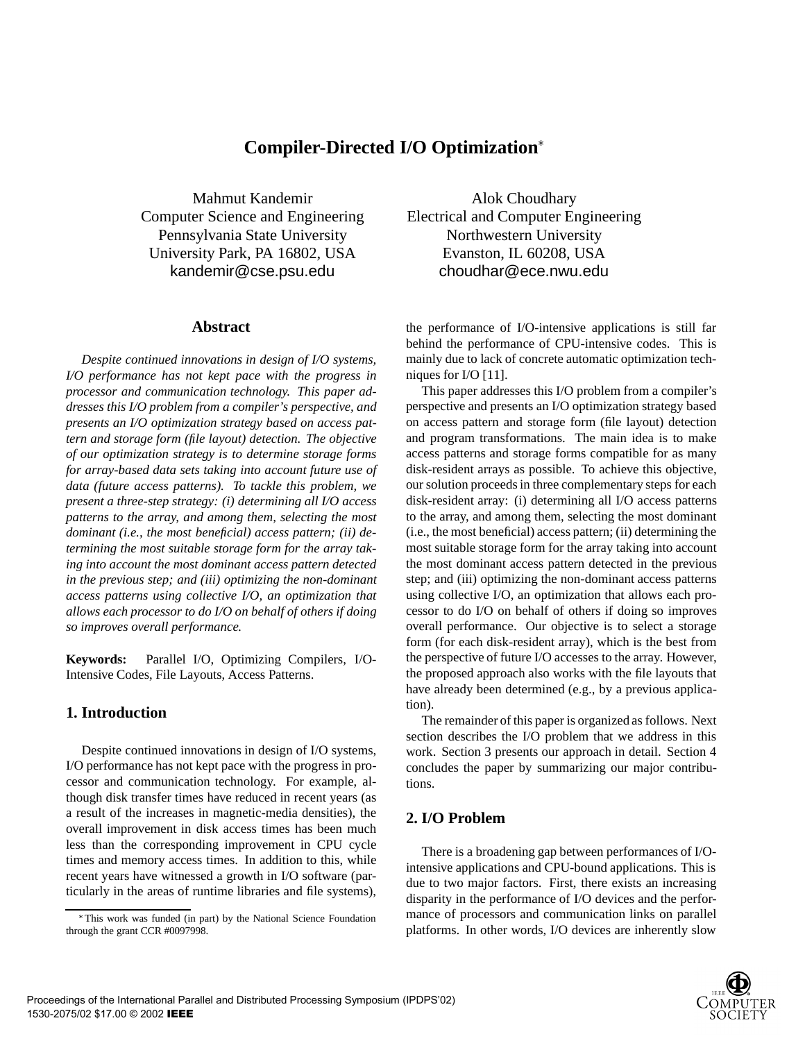# **Compiler-Directed I/O Optimization**

Mahmut Kandemir Computer Science and Engineering Pennsylvania State University University Park, PA 16802, USA kandemir@cse.psu.edu

### **Abstract**

*Despite continued innovations in design of I/O systems, I/O performance has not kept pace with the progress in processor and communication technology. This paper addresses this I/O problem from a compiler's perspective, and presents an I/O optimization strategy based on access pattern and storage form (file layout) detection. The objective of our optimization strategy is to determine storage forms for array-based data sets taking into account future use of data (future access patterns). To tackle this problem, we present a three-step strategy: (i) determining all I/O access patterns to the array, and among them, selecting the most dominant (i.e., the most beneficial) access pattern; (ii) determining the most suitable storage form for the array taking into account the most dominant access pattern detected in the previous step; and (iii) optimizing the non-dominant access patterns using collective I/O, an optimization that allows each processor to do I/O on behalf of others if doing so improves overall performance.*

**Keywords:** Parallel I/O, Optimizing Compilers, I/O-Intensive Codes, File Layouts, Access Patterns.

## **1. Introduction**

Despite continued innovations in design of I/O systems, I/O performance has not kept pace with the progress in processor and communication technology. For example, although disk transfer times have reduced in recent years (as a result of the increases in magnetic-media densities), the overall improvement in disk access times has been much less than the corresponding improvement in CPU cycle times and memory access times. In addition to this, while recent years have witnessed a growth in I/O software (particularly in the areas of runtime libraries and file systems),

Alok Choudhary Electrical and Computer Engineering Northwestern University Evanston, IL 60208, USA choudhar@ece.nwu.edu

the performance of I/O-intensive applications is still far behind the performance of CPU-intensive codes. This is mainly due to lack of concrete automatic optimization techniques for I/O [11].

This paper addresses this I/O problem from a compiler's perspective and presents an I/O optimization strategy based on access pattern and storage form (file layout) detection and program transformations. The main idea is to make access patterns and storage forms compatible for as many disk-resident arrays as possible. To achieve this objective, our solution proceeds in three complementary steps for each disk-resident array: (i) determining all I/O access patterns to the array, and among them, selecting the most dominant (i.e., the most beneficial) access pattern; (ii) determining the most suitable storage form for the array taking into account the most dominant access pattern detected in the previous step; and (iii) optimizing the non-dominant access patterns using collective I/O, an optimization that allows each processor to do I/O on behalf of others if doing so improves overall performance. Our objective is to select a storage form (for each disk-resident array), which is the best from the perspective of future I/O accesses to the array. However, the proposed approach also works with the file layouts that have already been determined (e.g., by a previous application).

The remainder of this paper is organized as follows. Next section describes the I/O problem that we address in this work. Section 3 presents our approach in detail. Section 4 concludes the paper by summarizing our major contributions.

# **2. I/O Problem**

There is a broadening gap between performances of I/Ointensive applications and CPU-bound applications. This is due to two major factors. First, there exists an increasing disparity in the performance of I/O devices and the performance of processors and communication links on parallel platforms. In other words, I/O devices are inherently slow



This work was funded (in part) by the National Science Foundation through the grant CCR #0097998.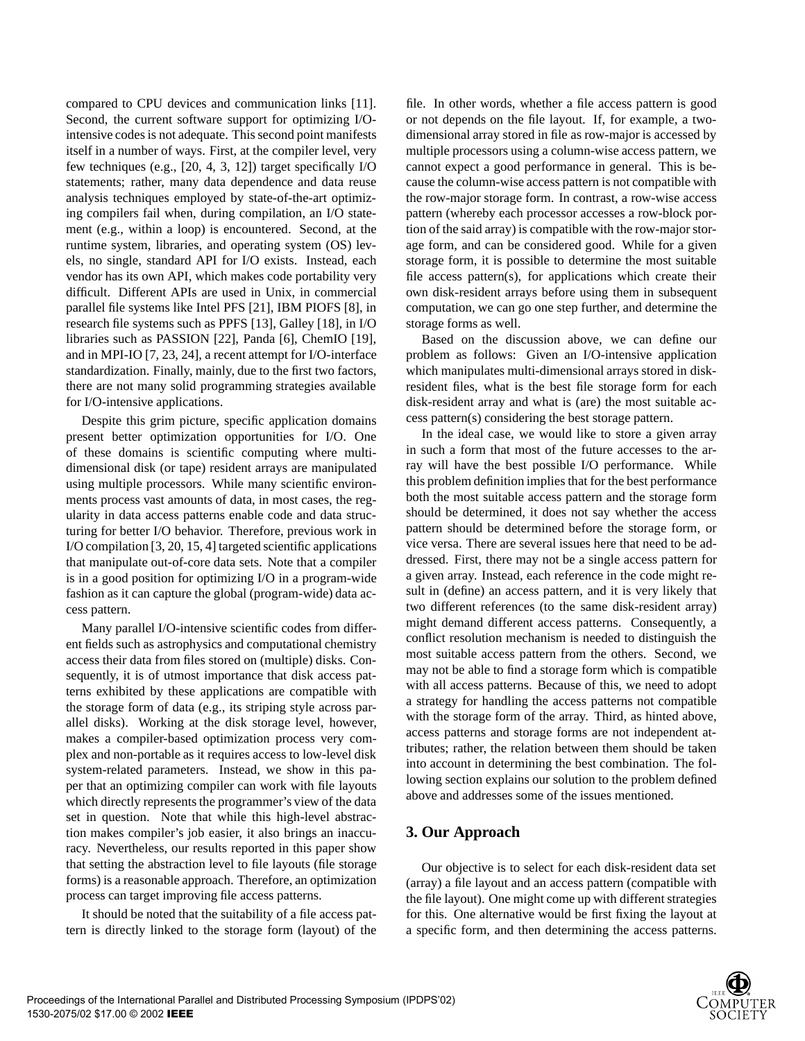compared to CPU devices and communication links [11]. Second, the current software support for optimizing I/Ointensive codes is not adequate. This second point manifests itself in a number of ways. First, at the compiler level, very few techniques (e.g., [20, 4, 3, 12]) target specifically I/O statements; rather, many data dependence and data reuse analysis techniques employed by state-of-the-art optimizing compilers fail when, during compilation, an I/O statement (e.g., within a loop) is encountered. Second, at the runtime system, libraries, and operating system (OS) levels, no single, standard API for I/O exists. Instead, each vendor has its own API, which makes code portability very difficult. Different APIs are used in Unix, in commercial parallel file systems like Intel PFS [21], IBM PIOFS [8], in research file systems such as PPFS [13], Galley [18], in I/O libraries such as PASSION [22], Panda [6], ChemIO [19], and in MPI-IO [7, 23, 24], a recent attempt for I/O-interface standardization. Finally, mainly, due to the first two factors, there are not many solid programming strategies available for I/O-intensive applications.

Despite this grim picture, specific application domains present better optimization opportunities for I/O. One of these domains is scientific computing where multidimensional disk (or tape) resident arrays are manipulated using multiple processors. While many scientific environments process vast amounts of data, in most cases, the regularity in data access patterns enable code and data structuring for better I/O behavior. Therefore, previous work in I/O compilation [3, 20, 15, 4] targeted scientific applications that manipulate out-of-core data sets. Note that a compiler is in a good position for optimizing I/O in a program-wide fashion as it can capture the global (program-wide) data access pattern.

Many parallel I/O-intensive scientific codes from different fields such as astrophysics and computational chemistry access their data from files stored on (multiple) disks. Consequently, it is of utmost importance that disk access patterns exhibited by these applications are compatible with the storage form of data (e.g., its striping style across parallel disks). Working at the disk storage level, however, makes a compiler-based optimization process very complex and non-portable as it requires access to low-level disk system-related parameters. Instead, we show in this paper that an optimizing compiler can work with file layouts which directly represents the programmer's view of the data set in question. Note that while this high-level abstraction makes compiler's job easier, it also brings an inaccuracy. Nevertheless, our results reported in this paper show that setting the abstraction level to file layouts (file storage forms) is a reasonable approach. Therefore, an optimization process can target improving file access patterns.

It should be noted that the suitability of a file access pattern is directly linked to the storage form (layout) of the file. In other words, whether a file access pattern is good or not depends on the file layout. If, for example, a twodimensional array stored in file as row-major is accessed by multiple processors using a column-wise access pattern, we cannot expect a good performance in general. This is because the column-wise access pattern is not compatible with the row-major storage form. In contrast, a row-wise access pattern (whereby each processor accesses a row-block portion of the said array) is compatible with the row-major storage form, and can be considered good. While for a given storage form, it is possible to determine the most suitable file access pattern(s), for applications which create their own disk-resident arrays before using them in subsequent computation, we can go one step further, and determine the storage forms as well.

Based on the discussion above, we can define our problem as follows: Given an I/O-intensive application which manipulates multi-dimensional arrays stored in diskresident files, what is the best file storage form for each disk-resident array and what is (are) the most suitable access pattern(s) considering the best storage pattern.

In the ideal case, we would like to store a given array in such a form that most of the future accesses to the array will have the best possible I/O performance. While this problem definition implies that for the best performance both the most suitable access pattern and the storage form should be determined, it does not say whether the access pattern should be determined before the storage form, or vice versa. There are several issues here that need to be addressed. First, there may not be a single access pattern for a given array. Instead, each reference in the code might result in (define) an access pattern, and it is very likely that two different references (to the same disk-resident array) might demand different access patterns. Consequently, a conflict resolution mechanism is needed to distinguish the most suitable access pattern from the others. Second, we may not be able to find a storage form which is compatible with all access patterns. Because of this, we need to adopt a strategy for handling the access patterns not compatible with the storage form of the array. Third, as hinted above, access patterns and storage forms are not independent attributes; rather, the relation between them should be taken into account in determining the best combination. The following section explains our solution to the problem defined above and addresses some of the issues mentioned.

## **3. Our Approach**

Our objective is to select for each disk-resident data set (array) a file layout and an access pattern (compatible with the file layout). One might come up with different strategies for this. One alternative would be first fixing the layout at a specific form, and then determining the access patterns.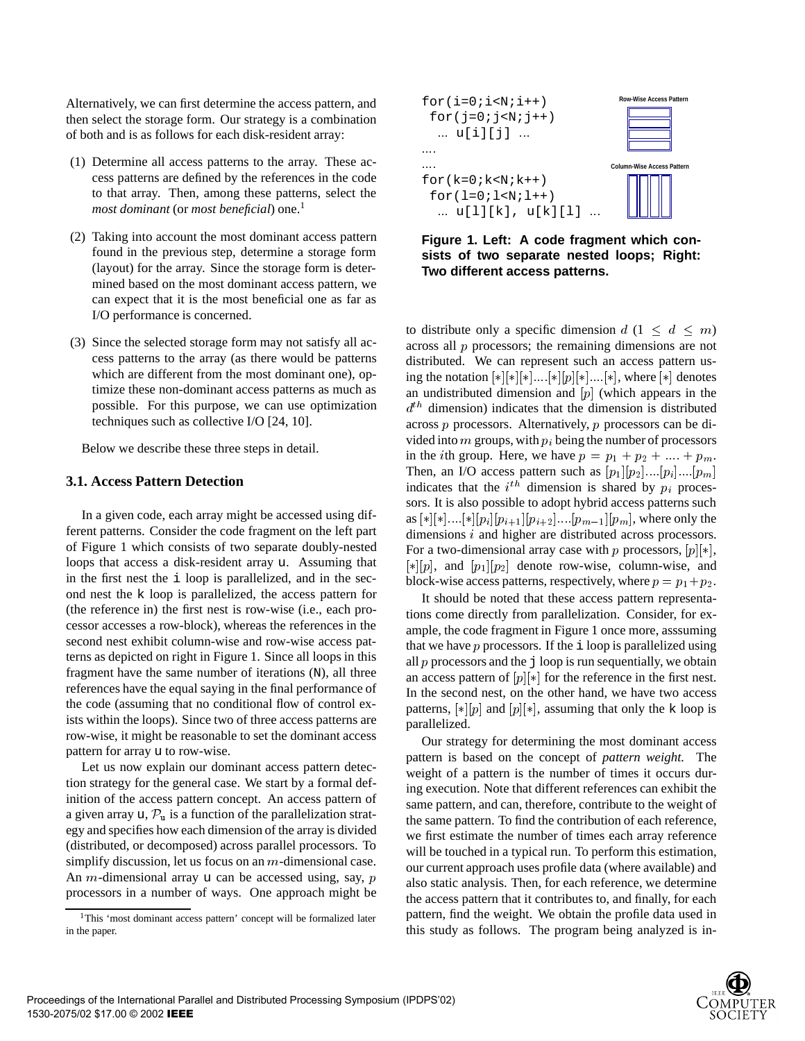Alternatively, we can first determine the access pattern, and then select the storage form. Our strategy is a combination of both and is as follows for each disk-resident array:

- (1) Determine all access patterns to the array. These access patterns are defined by the references in the code to that array. Then, among these patterns, select the *most dominant* (or *most beneficial*) one.<sup>1</sup>
- (2) Taking into account the most dominant access pattern found in the previous step, determine a storage form (layout) for the array. Since the storage form is determined based on the most dominant access pattern, we can expect that it is the most beneficial one as far as I/O performance is concerned.
- (3) Since the selected storage form may not satisfy all access patterns to the array (as there would be patterns which are different from the most dominant one), optimize these non-dominant access patterns as much as possible. For this purpose, we can use optimization techniques such as collective I/O [24, 10].

Below we describe these three steps in detail.

#### **3.1. Access Pattern Detection**

In a given code, each array might be accessed using different patterns. Consider the code fragment on the left part of Figure 1 which consists of two separate doubly-nested loops that access a disk-resident array u. Assuming that in the first nest the i loop is parallelized, and in the second nest the k loop is parallelized, the access pattern for (the reference in) the first nest is row-wise (i.e., each processor accesses a row-block), whereas the references in the second nest exhibit column-wise and row-wise access patterns as depicted on right in Figure 1. Since all loops in this fragment have the same number of iterations (N), all three references have the equal saying in the final performance of the code (assuming that no conditional flow of control exists within the loops). Since two of three access patterns are row-wise, it might be reasonable to set the dominant access pattern for array u to row-wise.

Let us now explain our dominant access pattern detection strategy for the general case. We start by a formal definition of the access pattern concept. An access pattern of a given array u,  $\mathcal{P}_{\rm u}$  is a function of the parallelization strategy and specifies how each dimension of the array is divided (distributed, or decomposed) across parallel processors. To simplify discussion, let us focus on an m-dimensional case. An *m*-dimensional array u can be accessed using, say,  $p$ processors in a number of ways. One approach might be



**Figure 1. Left: A code fragment which consists of two separate nested loops; Right: Two different access patterns.**

to distribute only a specific dimension  $d$   $(1 \leq d \leq m)$ across all <sup>p</sup> processors; the remaining dimensions are not distributed. We can represent such an access pattern using the notation  $[*|*|]*|...[*|p|[*]...[*]$ , where  $[*]$  denotes an undistributed dimension and  $[p]$  (which appears in the  $d<sup>th</sup>$  dimension) indicates that the dimension is distributed across <sup>p</sup> processors. Alternatively, <sup>p</sup> processors can be divided into  $m$  groups, with  $p_i$  being the number of processors in the *i*th group. Here, we have  $p = p_1 + p_2 + \dots + p_m$ . Then, an I/O access pattern such as  $[p_1][p_2]...[p_i]...[p_m]$ indicates that the  $i^{th}$  dimension is shared by  $p_i$  processors. It is also possible to adopt hybrid access patterns such as  $[*|*|...[*][p_i][p_{i+1}][p_{i+2}]...[p_{m-1}][p_m]$ , where only the dimensions <sup>i</sup> and higher are distributed across processors. For a two-dimensional array case with p processors,  $[p][*]$ ,  $[\ast][p]$ , and  $[p_1][p_2]$  denote row-wise, column-wise, and block-wise access patterns, respectively, where  $p = p_1 + p_2$ .

It should be noted that these access pattern representations come directly from parallelization. Consider, for example, the code fragment in Figure 1 once more, asssuming that we have  $p$  processors. If the  $\pm$  loop is parallelized using all  $p$  processors and the  $\exists$  loop is run sequentially, we obtain an access pattern of  $[p][*]$  for the reference in the first nest. In the second nest, on the other hand, we have two access patterns,  $[*|[p]$  and  $[p][*]$ , assuming that only the k loop is parallelized.

Our strategy for determining the most dominant access pattern is based on the concept of *pattern weight.* The weight of a pattern is the number of times it occurs during execution. Note that different references can exhibit the same pattern, and can, therefore, contribute to the weight of the same pattern. To find the contribution of each reference, we first estimate the number of times each array reference will be touched in a typical run. To perform this estimation, our current approach uses profile data (where available) and also static analysis. Then, for each reference, we determine the access pattern that it contributes to, and finally, for each pattern, find the weight. We obtain the profile data used in this study as follows. The program being analyzed is in-



<sup>&</sup>lt;sup>1</sup>This 'most dominant access pattern' concept will be formalized later in the paper.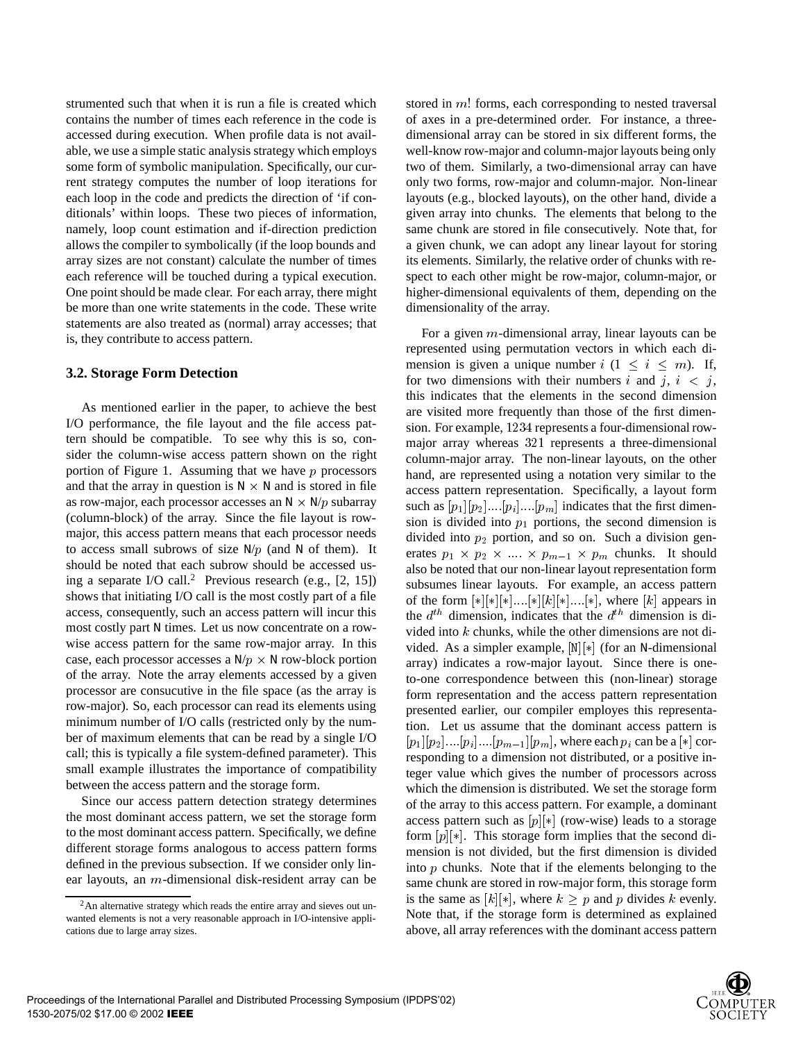strumented such that when it is run a file is created which contains the number of times each reference in the code is accessed during execution. When profile data is not available, we use a simple static analysis strategy which employs some form of symbolic manipulation. Specifically, our current strategy computes the number of loop iterations for each loop in the code and predicts the direction of 'if conditionals' within loops. These two pieces of information, namely, loop count estimation and if-direction prediction allows the compiler to symbolically (if the loop bounds and array sizes are not constant) calculate the number of times each reference will be touched during a typical execution. One point should be made clear. For each array, there might be more than one write statements in the code. These write statements are also treated as (normal) array accesses; that is, they contribute to access pattern.

#### **3.2. Storage Form Detection**

As mentioned earlier in the paper, to achieve the best I/O performance, the file layout and the file access pattern should be compatible. To see why this is so, consider the column-wise access pattern shown on the right portion of Figure 1. Assuming that we have  $p$  processors and that the array in question is  $N \times N$  and is stored in file as row-major, each processor accesses an  $N \times N/p$  subarray (column-block) of the array. Since the file layout is rowmajor, this access pattern means that each processor needs to access small subrows of size  $N/p$  (and N of them). It should be noted that each subrow should be accessed using a separate I/O call.<sup>2</sup> Previous research (e.g., [2, 15]) shows that initiating I/O call is the most costly part of a file access, consequently, such an access pattern will incur this most costly part N times. Let us now concentrate on a rowwise access pattern for the same row-major array. In this case, each processor accesses a  $N/p \times N$  row-block portion of the array. Note the array elements accessed by a given processor are consucutive in the file space (as the array is row-major). So, each processor can read its elements using minimum number of I/O calls (restricted only by the number of maximum elements that can be read by a single I/O call; this is typically a file system-defined parameter). This small example illustrates the importance of compatibility between the access pattern and the storage form.

Since our access pattern detection strategy determines the most dominant access pattern, we set the storage form to the most dominant access pattern. Specifically, we define different storage forms analogous to access pattern forms defined in the previous subsection. If we consider only linear layouts, an <sup>m</sup>-dimensional disk-resident array can be stored in m! forms, each corresponding to nested traversal of axes in a pre-determined order. For instance, a threedimensional array can be stored in six different forms, the well-know row-major and column-major layouts being only two of them. Similarly, a two-dimensional array can have only two forms, row-major and column-major. Non-linear layouts (e.g., blocked layouts), on the other hand, divide a given array into chunks. The elements that belong to the same chunk are stored in file consecutively. Note that, for a given chunk, we can adopt any linear layout for storing its elements. Similarly, the relative order of chunks with respect to each other might be row-major, column-major, or higher-dimensional equivalents of them, depending on the dimensionality of the array.

For a given <sup>m</sup>-dimensional array, linear layouts can be represented using permutation vectors in which each dimension is given a unique number  $i$  (1  $\leq i \leq m$ ). If, for two dimensions with their numbers i and j,  $i \le j$ , this indicates that the elements in the second dimension are visited more frequently than those of the first dimension. For example, <sup>1234</sup> represents a four-dimensional rowmajor array whereas <sup>321</sup> represents a three-dimensional column-major array. The non-linear layouts, on the other hand, are represented using a notation very similar to the access pattern representation. Specifically, a layout form such as  $[p_1][p_2]...[p_i]...[p_m]$  indicates that the first dimension is divided into  $p_1$  portions, the second dimension is divided into  $p_2$  portion, and so on. Such a division generates  $p_1 \times p_2 \times \dots \times p_{m-1} \times p_m$  chunks. It should also be noted that our non-linear layout representation form subsumes linear layouts. For example, an access pattern of the form  $[*|[*]$ :... $[*]|k|$ :... $[*]$ , where  $[k]$  appears in the  $d^{th}$  dimension, indicates that the  $d^{th}$  dimension is divided into <sup>k</sup> chunks, while the other dimensions are not divided. As a simpler example,  $[N][*]$  (for an N-dimensional array) indicates a row-major layout. Since there is oneto-one correspondence between this (non-linear) storage form representation and the access pattern representation presented earlier, our compiler employes this representation. Let us assume that the dominant access pattern is  $[p_1][p_2]...[p_i]...[p_{m-1}][p_m]$ , where each  $p_i$  can be a [\*] corresponding to a dimension not distributed, or a positive integer value which gives the number of processors across which the dimension is distributed. We set the storage form of the array to this access pattern. For example, a dominant access pattern such as  $[p][*]$  (row-wise) leads to a storage form  $[p][*]$ . This storage form implies that the second dimension is not divided, but the first dimension is divided into  $p$  chunks. Note that if the elements belonging to the same chunk are stored in row-major form, this storage form is the same as  $[k][*]$ , where  $k \geq p$  and p divides k evenly. Note that, if the storage form is determined as explained above, all array references with the dominant access pattern



 $2$ An alternative strategy which reads the entire array and sieves out unwanted elements is not a very reasonable approach in I/O-intensive applications due to large array sizes.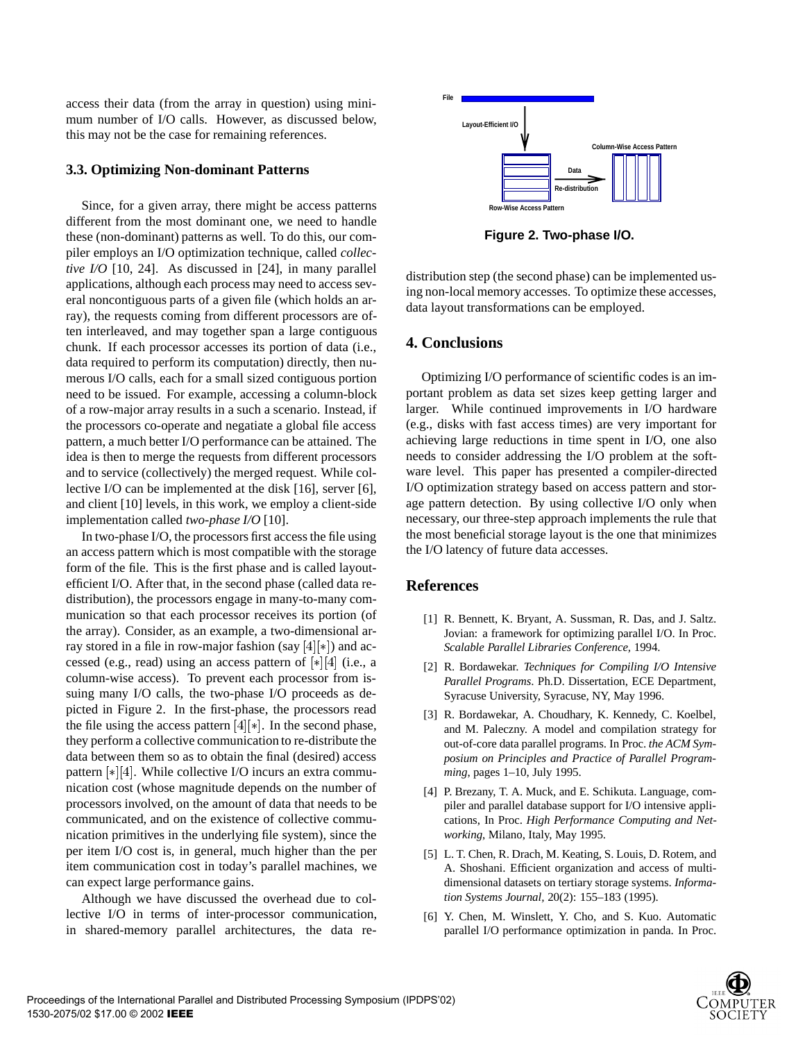access their data (from the array in question) using minimum number of I/O calls. However, as discussed below, this may not be the case for remaining references.

#### **3.3. Optimizing Non-dominant Patterns**

Since, for a given array, there might be access patterns different from the most dominant one, we need to handle these (non-dominant) patterns as well. To do this, our compiler employs an I/O optimization technique, called *collective I/O* [10, 24]. As discussed in [24], in many parallel applications, although each process may need to access several noncontiguous parts of a given file (which holds an array), the requests coming from different processors are often interleaved, and may together span a large contiguous chunk. If each processor accesses its portion of data (i.e., data required to perform its computation) directly, then numerous I/O calls, each for a small sized contiguous portion need to be issued. For example, accessing a column-block of a row-major array results in a such a scenario. Instead, if the processors co-operate and negatiate a global file access pattern, a much better I/O performance can be attained. The idea is then to merge the requests from different processors and to service (collectively) the merged request. While collective I/O can be implemented at the disk [16], server [6], and client [10] levels, in this work, we employ a client-side implementation called *two-phase I/O* [10].

In two-phase I/O, the processors first access the file using an access pattern which is most compatible with the storage form of the file. This is the first phase and is called layoutefficient I/O. After that, in the second phase (called data redistribution), the processors engage in many-to-many communication so that each processor receives its portion (of the array). Consider, as an example, a two-dimensional array stored in a file in row-major fashion (say  $[4]$ [ $\ast$ ]) and accessed (e.g., read) using an access pattern of  $[*][4]$  (i.e., a column-wise access). To prevent each processor from issuing many I/O calls, the two-phase I/O proceeds as depicted in Figure 2. In the first-phase, the processors read the file using the access pattern  $[4]$ [ $\ast$ ]. In the second phase, they perform a collective communication to re-distribute the data between them so as to obtain the final (desired) access pattern  $[*][4]$ . While collective I/O incurs an extra communication cost (whose magnitude depends on the number of processors involved, on the amount of data that needs to be communicated, and on the existence of collective communication primitives in the underlying file system), since the per item I/O cost is, in general, much higher than the per item communication cost in today's parallel machines, we can expect large performance gains.

Although we have discussed the overhead due to collective I/O in terms of inter-processor communication, in shared-memory parallel architectures, the data re-



**Figure 2. Two-phase I/O.**

distribution step (the second phase) can be implemented using non-local memory accesses. To optimize these accesses, data layout transformations can be employed.

### **4. Conclusions**

Optimizing I/O performance of scientific codes is an important problem as data set sizes keep getting larger and larger. While continued improvements in I/O hardware (e.g., disks with fast access times) are very important for achieving large reductions in time spent in I/O, one also needs to consider addressing the I/O problem at the software level. This paper has presented a compiler-directed I/O optimization strategy based on access pattern and storage pattern detection. By using collective I/O only when necessary, our three-step approach implements the rule that the most beneficial storage layout is the one that minimizes the I/O latency of future data accesses.

#### **References**

- [1] R. Bennett, K. Bryant, A. Sussman, R. Das, and J. Saltz. Jovian: a framework for optimizing parallel I/O. In Proc. *Scalable Parallel Libraries Conference,* 1994.
- [2] R. Bordawekar. *Techniques for Compiling I/O Intensive Parallel Programs*. Ph.D. Dissertation, ECE Department, Syracuse University, Syracuse, NY, May 1996.
- [3] R. Bordawekar, A. Choudhary, K. Kennedy, C. Koelbel, and M. Paleczny. A model and compilation strategy for out-of-core data parallel programs. In Proc. *the ACM Symposium on Principles and Practice of Parallel Programming*, pages 1–10, July 1995.
- [4] P. Brezany, T. A. Muck, and E. Schikuta. Language, compiler and parallel database support for I/O intensive applications, In Proc. *High Performance Computing and Networking*, Milano, Italy, May 1995.
- [5] L. T. Chen, R. Drach, M. Keating, S. Louis, D. Rotem, and A. Shoshani. Efficient organization and access of multidimensional datasets on tertiary storage systems. *Information Systems Journal,* 20(2): 155–183 (1995).
- [6] Y. Chen, M. Winslett, Y. Cho, and S. Kuo. Automatic parallel I/O performance optimization in panda. In Proc.